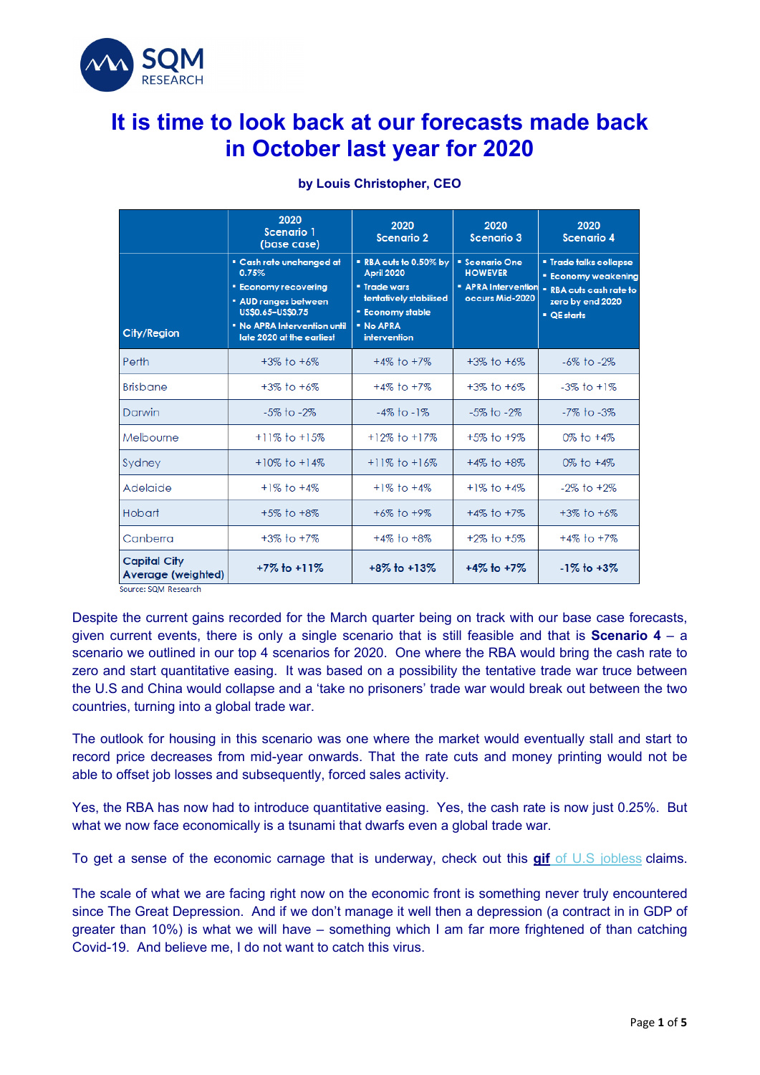

# **It is time to look back at our forecasts made back in October last year for 2020**

|                                                                   | 2020<br><b>Scenario 1</b><br>(base case)                                                                                                                                               | 2020<br><b>Scenario 2</b>                                                                                                                          | 2020<br><b>Scenario 3</b>                                                                | 2020<br><b>Scenario 4</b>                                                                                               |
|-------------------------------------------------------------------|----------------------------------------------------------------------------------------------------------------------------------------------------------------------------------------|----------------------------------------------------------------------------------------------------------------------------------------------------|------------------------------------------------------------------------------------------|-------------------------------------------------------------------------------------------------------------------------|
| City/Region                                                       | <b>E</b> Cash rate unchanged at<br>0.75%<br><b>Economy recovering</b><br><b>* AUD ranges between</b><br>US\$0.65-US\$0.75<br>. No APRA Intervention until<br>late 2020 at the earliest | " RBA cuts to 0.50% by<br><b>April 2020</b><br><b>· Trade wars</b><br>tentatively stabilised<br><b>Economy stable</b><br>· No APRA<br>intervention | <b>* Scenario One</b><br><b>HOWEVER</b><br><b>*</b> APRA Intervention<br>occurs Mid-2020 | <b>*</b> Trade talks collapse<br><b>Economy weakening</b><br>. RBA cuts cash rate to<br>zero by end 2020<br>• QE starts |
| Perth                                                             | $+3\%$ to $+6\%$                                                                                                                                                                       | $+4\%$ to $+7\%$                                                                                                                                   | $+3\%$ to $+6\%$                                                                         | $-6\%$ to $-2\%$                                                                                                        |
| <b>Brisbane</b>                                                   | $+3\%$ to $+6\%$                                                                                                                                                                       | $+4\%$ to $+7\%$                                                                                                                                   | $+3\%$ to $+6\%$                                                                         | $-3\%$ to $+1\%$                                                                                                        |
| Darwin                                                            | $-5\%$ to $-2\%$                                                                                                                                                                       | $-4\%$ to $-1\%$                                                                                                                                   | $-5\%$ to $-2\%$                                                                         | -7% to -3%                                                                                                              |
| Melbourne                                                         | $+11\%$ to $+15\%$                                                                                                                                                                     | $+12\%$ to $+17\%$                                                                                                                                 | +5% to +9%                                                                               | $0\%$ to $+4\%$                                                                                                         |
| Sydney                                                            | $+10\%$ to $+14\%$                                                                                                                                                                     | $+11\%$ to $+16\%$                                                                                                                                 | $+4\%$ to $+8\%$                                                                         | 0% to $+4%$                                                                                                             |
| Adelaide                                                          | $+1\%$ to $+4\%$                                                                                                                                                                       | $+1\%$ to $+4\%$                                                                                                                                   | $+1\%$ to $+4\%$                                                                         | $-2\%$ to $+2\%$                                                                                                        |
| Hobart                                                            | $+5\%$ to $+8\%$                                                                                                                                                                       | $+6\%$ to $+9\%$                                                                                                                                   | $+4\%$ to $+7\%$                                                                         | $+3\%$ to $+6\%$                                                                                                        |
| Canberra                                                          | $+3\%$ to $+7\%$                                                                                                                                                                       | $+4\%$ to $+8\%$                                                                                                                                   | $+2\%$ to $+5\%$                                                                         | $+4\%$ to $+7\%$                                                                                                        |
| <b>Capital City</b><br>Average (weighted)<br>Source: SQM Research | $+7\%$ to $+11\%$                                                                                                                                                                      | $+8\%$ to $+13\%$                                                                                                                                  | $+4\%$ to $+7\%$                                                                         | $-1\%$ to $+3\%$                                                                                                        |

#### **by Louis Christopher, CEO**

Despite the current gains recorded for the March quarter being on track with our base case forecasts, given current events, there is only a single scenario that is still feasible and that is **Scenario 4** – a scenario we outlined in our top 4 scenarios for 2020. One where the RBA would bring the cash rate to zero and start quantitative easing. It was based on a possibility the tentative trade war truce between the U.S and China would collapse and a 'take no prisoners' trade war would break out between the two countries, turning into a global trade war.

The outlook for housing in this scenario was one where the market would eventually stall and start to record price decreases from mid-year onwards. That the rate cuts and money printing would not be able to offset job losses and subsequently, forced sales activity.

Yes, the RBA has now had to introduce quantitative easing. Yes, the cash rate is now just 0.25%. But what we now face economically is a tsunami that dwarfs even a global trade war.

To get a sense of the economic carnage that is underway, check out this **[gif](https://aus01.safelinks.protection.outlook.com/?url=https%3A%2F%2Fsqmresearch.us5.list-manage.com%2Ftrack%2Fclick%3Fu%3D9badbd870addb4af72206c2eb%26id%3D28e8935497%26e%3D345d07c062&data=02%7C01%7Clinda%40sqmresearch.com.au%7C99b7ac48379e4cacc86a08d7dab7b2ba%7C415acc3cb45a462bb3954daa1de0ab6f%7C1%7C0%7C637218354829709848&sdata=iSeHBorxV%2FHkrkmEe7%2B%2Bo7RpiMzASP2HGsGlrHtQYZg%3D&reserved=0)** [of U.S jobless](https://aus01.safelinks.protection.outlook.com/?url=https%3A%2F%2Fsqmresearch.us5.list-manage.com%2Ftrack%2Fclick%3Fu%3D9badbd870addb4af72206c2eb%26id%3D28e8935497%26e%3D345d07c062&data=02%7C01%7Clinda%40sqmresearch.com.au%7C99b7ac48379e4cacc86a08d7dab7b2ba%7C415acc3cb45a462bb3954daa1de0ab6f%7C1%7C0%7C637218354829709848&sdata=iSeHBorxV%2FHkrkmEe7%2B%2Bo7RpiMzASP2HGsGlrHtQYZg%3D&reserved=0) claims.

The scale of what we are facing right now on the economic front is something never truly encountered since The Great Depression. And if we don't manage it well then a depression (a contract in in GDP of greater than 10%) is what we will have – something which I am far more frightened of than catching Covid-19. And believe me, I do not want to catch this virus.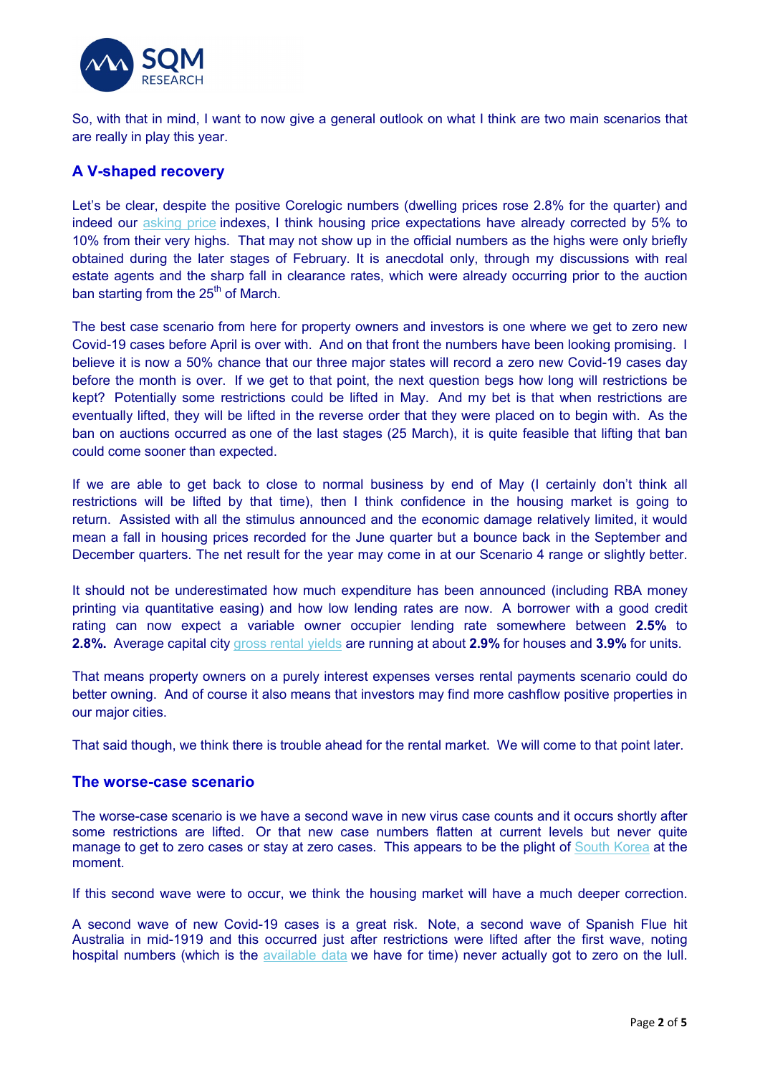

So, with that in mind, I want to now give a general outlook on what I think are two main scenarios that are really in play this year.

## **A V-shaped recovery**

Let's be clear, despite the positive Corelogic numbers (dwelling prices rose 2.8% for the quarter) and indeed our [asking price](https://aus01.safelinks.protection.outlook.com/?url=https%3A%2F%2Fsqmresearch.us5.list-manage.com%2Ftrack%2Fclick%3Fu%3D9badbd870addb4af72206c2eb%26id%3D53d8c9ea37%26e%3D345d07c062&data=02%7C01%7Clinda%40sqmresearch.com.au%7C99b7ac48379e4cacc86a08d7dab7b2ba%7C415acc3cb45a462bb3954daa1de0ab6f%7C1%7C0%7C637218354829719842&sdata=i08Rij312v9Ep772B%2Fdrj3iRUpLMkgJn%2FZuZGtyWi2o%3D&reserved=0) indexes, I think housing price expectations have already corrected by 5% to 10% from their very highs. That may not show up in the official numbers as the highs were only briefly obtained during the later stages of February. It is anecdotal only, through my discussions with real estate agents and the sharp fall in clearance rates, which were already occurring prior to the auction ban starting from the  $25<sup>th</sup>$  of March.

The best case scenario from here for property owners and investors is one where we get to zero new Covid-19 cases before April is over with. And on that front the numbers have been looking promising. I believe it is now a 50% chance that our three major states will record a zero new Covid-19 cases day before the month is over. If we get to that point, the next question begs how long will restrictions be kept? Potentially some restrictions could be lifted in May. And my bet is that when restrictions are eventually lifted, they will be lifted in the reverse order that they were placed on to begin with. As the ban on auctions occurred as one of the last stages (25 March), it is quite feasible that lifting that ban could come sooner than expected.

If we are able to get back to close to normal business by end of May (I certainly don't think all restrictions will be lifted by that time), then I think confidence in the housing market is going to return. Assisted with all the stimulus announced and the economic damage relatively limited, it would mean a fall in housing prices recorded for the June quarter but a bounce back in the September and December quarters. The net result for the year may come in at our Scenario 4 range or slightly better.

It should not be underestimated how much expenditure has been announced (including RBA money printing via quantitative easing) and how low lending rates are now. A borrower with a good credit rating can now expect a variable owner occupier lending rate somewhere between **2.5%** to **2.8%.** Average capital city [gross rental yields](https://aus01.safelinks.protection.outlook.com/?url=https%3A%2F%2Fsqmresearch.us5.list-manage.com%2Ftrack%2Fclick%3Fu%3D9badbd870addb4af72206c2eb%26id%3Db562d91d43%26e%3D345d07c062&data=02%7C01%7Clinda%40sqmresearch.com.au%7C99b7ac48379e4cacc86a08d7dab7b2ba%7C415acc3cb45a462bb3954daa1de0ab6f%7C1%7C0%7C637218354829729837&sdata=YYmqBJ77SWhWcGvgG66272V0NXwILE1B1vjhW9jG6bA%3D&reserved=0) are running at about **2.9%** for houses and **3.9%** for units.

That means property owners on a purely interest expenses verses rental payments scenario could do better owning. And of course it also means that investors may find more cashflow positive properties in our major cities.

That said though, we think there is trouble ahead for the rental market. We will come to that point later.

#### **The worse-case scenario**

The worse-case scenario is we have a second wave in new virus case counts and it occurs shortly after some restrictions are lifted. Or that new case numbers flatten at current levels but never quite manage to get to zero cases or stay at zero cases. This appears to be the plight of [South Korea](https://aus01.safelinks.protection.outlook.com/?url=https%3A%2F%2Fsqmresearch.us5.list-manage.com%2Ftrack%2Fclick%3Fu%3D9badbd870addb4af72206c2eb%26id%3De5739df924%26e%3D345d07c062&data=02%7C01%7Clinda%40sqmresearch.com.au%7C99b7ac48379e4cacc86a08d7dab7b2ba%7C415acc3cb45a462bb3954daa1de0ab6f%7C1%7C0%7C637218354829739830&sdata=WZtD48Vzu7tRbzacWGapjBl6ql%2Fa85j9HHe8LceFqiY%3D&reserved=0) at the moment.

If this second wave were to occur, we think the housing market will have a much deeper correction.

A second wave of new Covid-19 cases is a great risk. Note, a second wave of Spanish Flue hit Australia in mid-1919 and this occurred just after restrictions were lifted after the first wave, noting hospital numbers (which is the [available data](https://aus01.safelinks.protection.outlook.com/?url=https%3A%2F%2Fsqmresearch.us5.list-manage.com%2Ftrack%2Fclick%3Fu%3D9badbd870addb4af72206c2eb%26id%3D8b519b71c4%26e%3D345d07c062&data=02%7C01%7Clinda%40sqmresearch.com.au%7C99b7ac48379e4cacc86a08d7dab7b2ba%7C415acc3cb45a462bb3954daa1de0ab6f%7C1%7C0%7C637218354829739830&sdata=XpG6p%2BBJJ%2Fs%2FuRyKXm5zYxzAocwLRDkVEJbAMz5N3sE%3D&reserved=0) we have for time) never actually got to zero on the lull.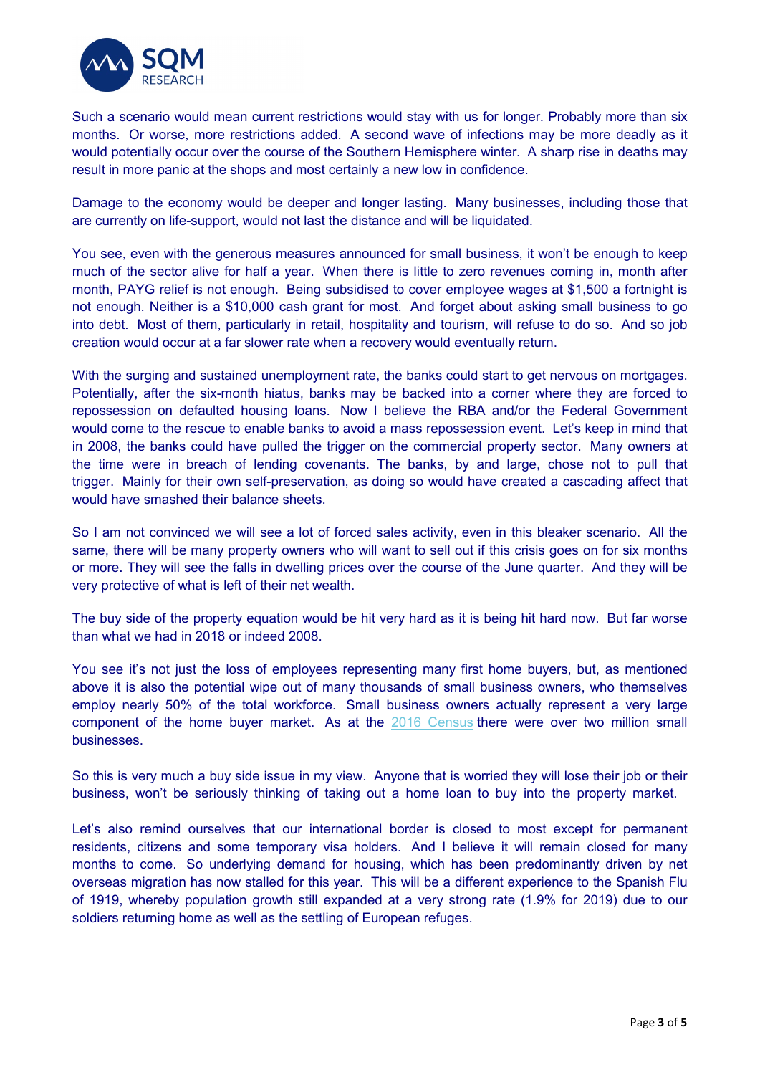

Such a scenario would mean current restrictions would stay with us for longer. Probably more than six months. Or worse, more restrictions added. A second wave of infections may be more deadly as it would potentially occur over the course of the Southern Hemisphere winter. A sharp rise in deaths may result in more panic at the shops and most certainly a new low in confidence.

Damage to the economy would be deeper and longer lasting. Many businesses, including those that are currently on life-support, would not last the distance and will be liquidated.

You see, even with the generous measures announced for small business, it won't be enough to keep much of the sector alive for half a year. When there is little to zero revenues coming in, month after month, PAYG relief is not enough. Being subsidised to cover employee wages at \$1,500 a fortnight is not enough. Neither is a \$10,000 cash grant for most. And forget about asking small business to go into debt. Most of them, particularly in retail, hospitality and tourism, will refuse to do so. And so job creation would occur at a far slower rate when a recovery would eventually return.

With the surging and sustained unemployment rate, the banks could start to get nervous on mortgages. Potentially, after the six-month hiatus, banks may be backed into a corner where they are forced to repossession on defaulted housing loans. Now I believe the RBA and/or the Federal Government would come to the rescue to enable banks to avoid a mass repossession event. Let's keep in mind that in 2008, the banks could have pulled the trigger on the commercial property sector. Many owners at the time were in breach of lending covenants. The banks, by and large, chose not to pull that trigger. Mainly for their own self-preservation, as doing so would have created a cascading affect that would have smashed their balance sheets.

So I am not convinced we will see a lot of forced sales activity, even in this bleaker scenario. All the same, there will be many property owners who will want to sell out if this crisis goes on for six months or more. They will see the falls in dwelling prices over the course of the June quarter. And they will be very protective of what is left of their net wealth.

The buy side of the property equation would be hit very hard as it is being hit hard now. But far worse than what we had in 2018 or indeed 2008.

You see it's not just the loss of employees representing many first home buyers, but, as mentioned above it is also the potential wipe out of many thousands of small business owners, who themselves employ nearly 50% of the total workforce. Small business owners actually represent a very large component of the home buyer market. As at the [2016 Census](https://aus01.safelinks.protection.outlook.com/?url=https%3A%2F%2Fsqmresearch.us5.list-manage.com%2Ftrack%2Fclick%3Fu%3D9badbd870addb4af72206c2eb%26id%3Ddb6fee8866%26e%3D345d07c062&data=02%7C01%7Clinda%40sqmresearch.com.au%7C99b7ac48379e4cacc86a08d7dab7b2ba%7C415acc3cb45a462bb3954daa1de0ab6f%7C1%7C0%7C637218354829749830&sdata=jn%2FBWWR3yaBL9xiF3xF4gWb6hfhwclKwgw94EZzVGmk%3D&reserved=0) there were over two million small businesses.

So this is very much a buy side issue in my view. Anyone that is worried they will lose their job or their business, won't be seriously thinking of taking out a home loan to buy into the property market.

Let's also remind ourselves that our international border is closed to most except for permanent residents, citizens and some temporary visa holders. And I believe it will remain closed for many months to come. So underlying demand for housing, which has been predominantly driven by net overseas migration has now stalled for this year. This will be a different experience to the Spanish Flu of 1919, whereby population growth still expanded at a very strong rate (1.9% for 2019) due to our soldiers returning home as well as the settling of European refuges.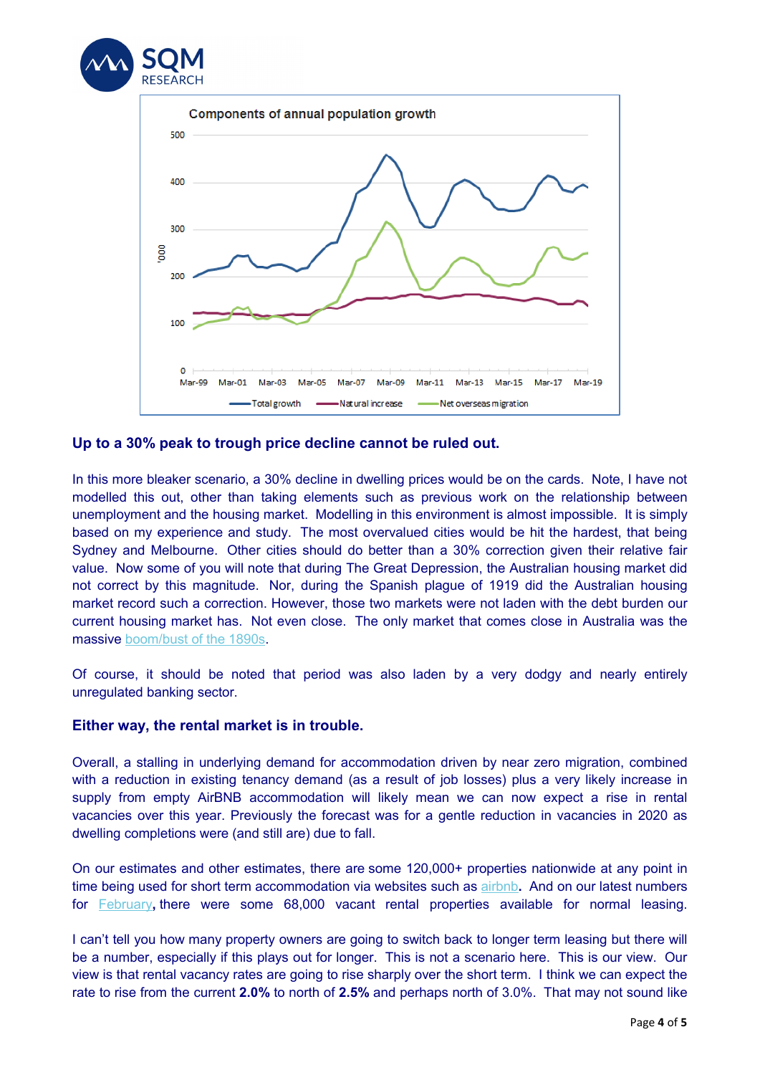



#### **Up to a 30% peak to trough price decline cannot be ruled out.**

In this more bleaker scenario, a 30% decline in dwelling prices would be on the cards. Note, I have not modelled this out, other than taking elements such as previous work on the relationship between unemployment and the housing market. Modelling in this environment is almost impossible. It is simply based on my experience and study. The most overvalued cities would be hit the hardest, that being Sydney and Melbourne. Other cities should do better than a 30% correction given their relative fair value. Now some of you will note that during The Great Depression, the Australian housing market did not correct by this magnitude. Nor, during the Spanish plague of 1919 did the Australian housing market record such a correction. However, those two markets were not laden with the debt burden our current housing market has. Not even close. The only market that comes close in Australia was the massive [boom/bust of the 1890s.](https://aus01.safelinks.protection.outlook.com/?url=https%3A%2F%2Fsqmresearch.us5.list-manage.com%2Ftrack%2Fclick%3Fu%3D9badbd870addb4af72206c2eb%26id%3D3b9c073116%26e%3D345d07c062&data=02%7C01%7Clinda%40sqmresearch.com.au%7C99b7ac48379e4cacc86a08d7dab7b2ba%7C415acc3cb45a462bb3954daa1de0ab6f%7C1%7C0%7C637218354829759826&sdata=QqaOulcJUz%2BRy0qeyfb%2FAfP5RzLLwzyDCh0VQy2%2FA%2BY%3D&reserved=0)

Of course, it should be noted that period was also laden by a very dodgy and nearly entirely unregulated banking sector.

#### **Either way, the rental market is in trouble.**

Overall, a stalling in underlying demand for accommodation driven by near zero migration, combined with a reduction in existing tenancy demand (as a result of job losses) plus a very likely increase in supply from empty AirBNB accommodation will likely mean we can now expect a rise in rental vacancies over this year. Previously the forecast was for a gentle reduction in vacancies in 2020 as dwelling completions were (and still are) due to fall.

On our estimates and other estimates, there are some 120,000+ properties nationwide at any point in time being used for short term accommodation via websites such as [airbnb](https://aus01.safelinks.protection.outlook.com/?url=https%3A%2F%2Fsqmresearch.us5.list-manage.com%2Ftrack%2Fclick%3Fu%3D9badbd870addb4af72206c2eb%26id%3De7c40e079d%26e%3D345d07c062&data=02%7C01%7Clinda%40sqmresearch.com.au%7C99b7ac48379e4cacc86a08d7dab7b2ba%7C415acc3cb45a462bb3954daa1de0ab6f%7C1%7C0%7C637218354829769821&sdata=j6Pf3YVLN9YdmVXQTXMYiWbaXOlW1OAkOXhrpozOa%2B8%3D&reserved=0)**.** And on our latest numbers for [February](https://aus01.safelinks.protection.outlook.com/?url=https%3A%2F%2Fsqmresearch.us5.list-manage.com%2Ftrack%2Fclick%3Fu%3D9badbd870addb4af72206c2eb%26id%3D14ede794e3%26e%3D345d07c062&data=02%7C01%7Clinda%40sqmresearch.com.au%7C99b7ac48379e4cacc86a08d7dab7b2ba%7C415acc3cb45a462bb3954daa1de0ab6f%7C1%7C0%7C637218354829769821&sdata=afJPX4KlMbU2N5JQpOsCGeJDStvOPSK49n9ucAYBsfI%3D&reserved=0)**,** there were some 68,000 vacant rental properties available for normal leasing.

I can't tell you how many property owners are going to switch back to longer term leasing but there will be a number, especially if this plays out for longer. This is not a scenario here. This is our view. Our view is that rental vacancy rates are going to rise sharply over the short term. I think we can expect the rate to rise from the current **2.0%** to north of **2.5%** and perhaps north of 3.0%. That may not sound like